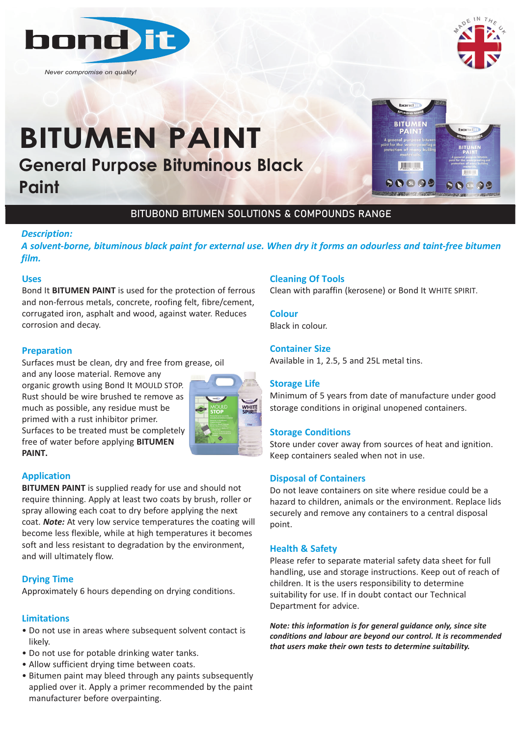

*Never compromise on quality!*



# **General Purpose Bituminous Black Paint BITUMEN PAINT**



## BITUBOND BITUMEN SOLUTIONS & COMPOUNDS RANGE

## *Description:*

*A solvent‐borne, bituminous black paint for external use. When dry it forms an odourless and taint‐free bitumen film.*

## **Uses**

Bond It **BITUMEN PAINT** is used for the protection of ferrous and non-ferrous metals, concrete, roofing felt, fibre/cement, corrugated iron, asphalt and wood, against water. Reduces corrosion and decay.

## **Preparation**

Surfaces must be clean, dry and free from grease, oil

and any loose material. Remove any organic growth using Bond It MOULD STOP. Rust should be wire brushed te remove as much as possible, any residue must be primed with a rust inhibitor primer. Surfaces to be treated must be completely free of water before applying **BITUMEN PAINT.**



## **Application**

**BITUMEN PAINT** is supplied ready for use and should not require thinning. Apply at least two coats by brush, roller or spray allowing each coat to dry before applying the next coat. *Note:* At very low service temperatures the coating will become less flexible, while at high temperatures it becomes soft and less resistant to degradation by the environment, and will ultimately flow.

## **Drying Time**

Approximately 6 hours depending on drying conditions.

## **Limitations**

- Do not use in areas where subsequent solvent contact is likely.
- Do not use for potable drinking water tanks.
- Allow sufficient drying time between coats.
- Bitumen paint may bleed through any paints subsequently applied over it. Apply a primer recommended by the paint manufacturer before overpainting.

## **Cleaning Of Tools**

Clean with paraffin (kerosene) or Bond It WHITE SPIRIT.

## **Colour**

Black in colour.

## **Container Size**

Available in 1, 2.5, 5 and 25L metal tins.

## **Storage Life**

Minimum of 5 years from date of manufacture under good storage conditions in original unopened containers.

## **Storage Conditions**

Store under cover away from sources of heat and ignition. Keep containers sealed when not in use.

## **Disposal of Containers**

Do not leave containers on site where residue could be a hazard to children, animals or the environment. Replace lids securely and remove any containers to a central disposal point.

## **Health & Safety**

Please refer to separate material safety data sheet for full handling, use and storage instructions. Keep out of reach of children. It is the users responsibility to determine suitability for use. If in doubt contact our Technical Department for advice.

*Note: this information is for general guidance only, since site conditions and labour are beyond our control. It is recommended that users make their own tests to determine suitability.*